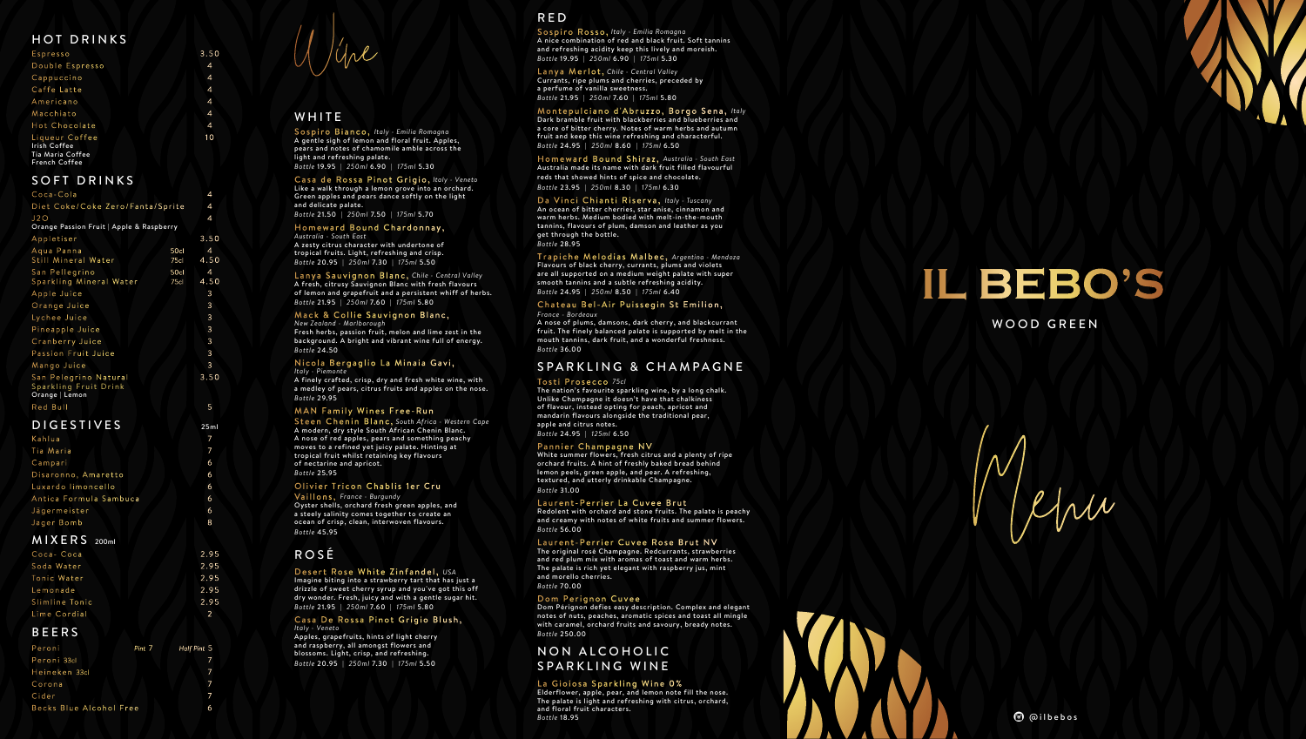Menu



### WOOD GREEN

# HOT DRINKS

| Espresso                                                                          | 3.50           |
|-----------------------------------------------------------------------------------|----------------|
| Double Espresso                                                                   | 4              |
| Cappuccino                                                                        | $\overline{4}$ |
| Caffe Latte                                                                       | 4              |
| Americano                                                                         | $\overline{4}$ |
| Macchiato                                                                         | $\overline{4}$ |
| Hot Chocolate                                                                     | 4              |
| Liqueur Coffee<br><b>Irish Coffee</b><br>Tia Maria Coffee<br><b>French Coffee</b> | 10             |
|                                                                                   |                |

### SOFT DRINKS

| Coca-Cola                                                        |              | 4                      |
|------------------------------------------------------------------|--------------|------------------------|
| Diet Coke/Coke Zero/Fanta/Sprite                                 |              | 4                      |
| J2O<br>Orange Passion Fruit   Apple & Raspberry                  |              | 4                      |
| Appletiser                                                       |              | 3.50                   |
| Aqua Panna<br>Still Mineral Water                                | 50cl<br>75c  | $\overline{4}$<br>4.50 |
| San Pellegrino<br>Sparkling Mineral Water                        | 50cl<br>75cl | $\overline{4}$<br>4.50 |
| Apple Juice                                                      |              | 3                      |
| Orange Juice                                                     |              | 3                      |
| Lychee Juice                                                     |              | 3                      |
| Pineapple Juice                                                  |              | 3                      |
| Cranberry Juice                                                  |              | 3                      |
| <b>Passion Fruit Juice</b>                                       |              | 3                      |
| Mango Juice                                                      |              | 3                      |
| San Pelegrino Natural<br>Sparkling Fruit Drink<br>Orange   Lemon |              | 3.50                   |
| Red Bull                                                         |              | 5                      |
|                                                                  |              |                        |

## DIGESTIVES 25ml

| Kahlua                 |   |
|------------------------|---|
| Tia Maria              |   |
| Campari                | 6 |
| Disaronno, Amaretto    | 6 |
| Luxardo limoncello     | 6 |
| Antica Formula Sambuca | 6 |
| Jägermeister           | 6 |
| Jager Bomb             | 8 |

#### Homeward Bound Chardonnay, *Australia - South East*

### MIXERS 200ml

| Coca-Coca      | 2.95 |
|----------------|------|
| Soda Water     | 2.95 |
| Tonic Water    | 2.95 |
| Lemonade       | 2.95 |
| Slimline Tonic | 2.95 |
| Lime Cordial   |      |

# BEERS

| Peroni                  | Pint 7 Half Pint 5 |
|-------------------------|--------------------|
| Peroni 33cl             |                    |
| Heineken 33cl           |                    |
| Corona                  |                    |
| Cider                   |                    |
| Becks Blue Alcohol Free | 6                  |

Wine

## **WHITE**

#### Nicola Bergaglio La Minaia Gavi, *Italy - Piemonte*

Sospiro Bianco, *Italy - Emilia Romagna* A gentle sigh of lemon and floral fruit. Apples, pears and notes of chamomile amble across the light and refreshing palate. *Bottle* 19.95 | *250ml* 6.90 | *175ml* 5.30

Casa de Rossa Pinot Grigio, *Italy - Veneto*

Like a walk through a lemon grove into an orchard. Green apples and pears dance softly on the light and delicate palate.

*Bottle* 21.50 | *250ml* 7.50 | *175ml* 5.70

A zesty citrus character with undertone of tropical fruits. Light, refreshing and crisp. *Bottle* 20.95 | *250ml* 7.30 | *175ml* 5.50

Lanya Sauvignon Blanc, *Chile - Central Valley* A fresh, citrusy Sauvignon Blanc with fresh flavours of lemon and grapefruit and a persistent whiff of herbs. *Bottle* 21.95 | *250ml* 7.60 | *175ml* 5.80

#### Mack & Collie Sauvignon Blanc,

*New Zealand - Marlborough* Fresh herbs, passion fruit, melon and lime zest in the background. A bright and vibrant wine full of energy. *Bottle* 24.50

A finely crafted, crisp, dry and fresh white wine, with a medley of pears, citrus fruits and apples on the nose. *Bottle* 29.95

### MAN Family Wines Free-Run

Steen Chenin Blanc, *South Africa - Western Cape* A modern, dry style South African Chenin Blanc. A nose of red apples, pears and something peachy moves to a refined yet juicy palate. Hinting at tropical fruit whilst retaining key flavours of nectarine and apricot. *Bottle* 25.95

### Olivier Tricon Chablis 1er Cru

Vaillons, *France - Burgundy* Oyster shells, orchard fresh green apples, and a steely salinity comes together to create an ocean of crisp, clean, interwoven flavours. *Bottle* 45.95

## ROSÉ

Desert Rose White Zinfandel, *USA* Imagine biting into a strawberry tart that has just a drizzle of sweet cherry syrup and you've got this off dry wonder. Fresh, juicy and with a gentle sugar hit. *Bottle* 21.95 | *250ml* 7.60 | *175ml* 5.80

## NON ALCOHOLIC SPARKLING WINE

### La Gioiosa Sparkling Wine 0%

#### Casa De Rossa Pinot Grigio Blush, *Italy - Veneto*

Apples, grapefruits, hints of light cherry and raspberry, all amongst flowers and blossoms. Light, crisp, and refreshing. *Bottle* 20.95 | *250ml* 7.30 | *175ml* 5.50

# RED

Sospiro Rosso, *Italy - Emilia Romagna* A nice combination of red and black fruit. Soft tannins and refreshing acidity keep this lively and moreish. *Bottle* 19.95 | *250ml* 6.90 | *175ml* 5.30

Lanya Merlot, *Chile - Central Valley* Currants, ripe plums and cherries, preceded by a perfume of vanilla sweetness. *Bottle* 21.95 | *250ml* 7.60 | *175ml* 5.80

Montepulciano d'Abruzzo, Borgo Sena, *Italy* Dark bramble fruit with blackberries and blueberries and a core of bitter cherry. Notes of warm herbs and autumn fruit and keep this wine refreshing and characterful. *Bottle* 24.95 | *250ml* 8.60 | *175ml* 6.50

Homeward Bound Shiraz, *Australia - South East* Australia made its name with dark fruit filled flavourful reds that showed hints of spice and chocolate. *Bottle* 23.95 | *250ml* 8.30 | *175ml* 6.30

#### Da Vinci Chianti Riserva, *Italy - Tuscany*

An ocean of bitter cherries, star anise, cinnamon and warm herbs. Medium bodied with melt-in-the-mouth tannins, flavours of plum, damson and leather as you get through the bottle. *Bottle* 28.95

Trapiche Melodias Malbec, *Argentina - Mendoza* Flavours of black cherry, currants, plums and violets are all supported on a medium weight palate with super smooth tannins and a subtle refreshing acidity. *Bottle* 24.95 | *250ml* 8.50 | *175ml* 6.40

### Chateau Bel-Air Puissegin St Emilion,

*France - Bordeaux*

A nose of plums, damsons, dark cherry, and blackcurrant fruit. The finely balanced palate is supported by melt in the mouth tannins, dark fruit, and a wonderful freshness. *Bottle* 36.00

### SPARKLING & CHAMPAGNE

#### Tosti Prosecco *75cl*

The nation's favourite sparkling wine, by a long chalk. Unlike Champagne it doesn't have that chalkiness of flavour, instead opting for peach, apricot and mandarin flavours alongside the traditional pear, apple and citrus notes. *Bottle* 24.95 | *125ml* 6.50

### Pannier Champagne NV

White summer flowers, fresh citrus and a plenty of ripe orchard fruits. A hint of freshly baked bread behind lemon peels, green apple, and pear. A refreshing, textured, and utterly drinkable Champagne. *Bottle* 31.00

#### Laurent-Perrier La Cuvee Brut

Redolent with orchard and stone fruits. The palate is peachy and creamy with notes of white fruits and summer flowers. *Bottle* 56.00

### Laurent-Perrier Cuvee Rose Brut NV

The original rosé Champagne. Redcurrants, strawberries and red plum mix with aromas of toast and warm herbs. The palate is rich yet elegant with raspberry jus, mint and morello cherries. *Bottle* 70.00

### Dom Perignon Cuvee

Dom Pérignon defies easy description. Complex and elegant notes of nuts, peaches, aromatic spices and toast all mingle with caramel, orchard fruits and savoury, bready notes. *Bottle* 250.00

Elderflower, apple, pear, and lemon note fill the nose. The palate is light and refreshing with citrus, orchard, and floral fruit characters. *Bottle* 18.95